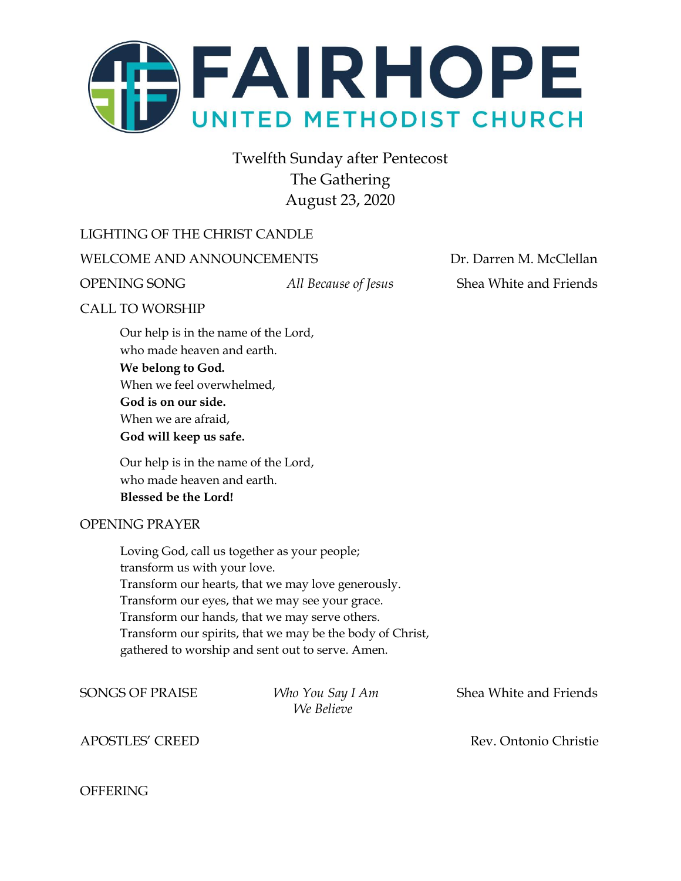

Twelfth Sunday after Pentecost The Gathering August 23, 2020

#### LIGHTING OF THE CHRIST CANDLE

WELCOME AND ANNOUNCEMENTS **Dr. Darren M. McClellan** 

OPENING SONG *All Because of Jesus* Shea White and Friends

#### CALL TO WORSHIP

Our help is in the name of the Lord, who made heaven and earth. **We belong to God.** When we feel overwhelmed, **God is on our side.** When we are afraid, **God will keep us safe.**

Our help is in the name of the Lord, who made heaven and earth. **Blessed be the Lord!**

#### OPENING PRAYER

Loving God, call us together as your people; transform us with your love. Transform our hearts, that we may love generously. Transform our eyes, that we may see your grace. Transform our hands, that we may serve others. Transform our spirits, that we may be the body of Christ, gathered to worship and sent out to serve. Amen.

*We Believe*

SONGS OF PRAISE *Who You Say I Am* Shea White and Friends

APOSTLES' CREED **Rev. Ontonio Christie** 

#### **OFFERING**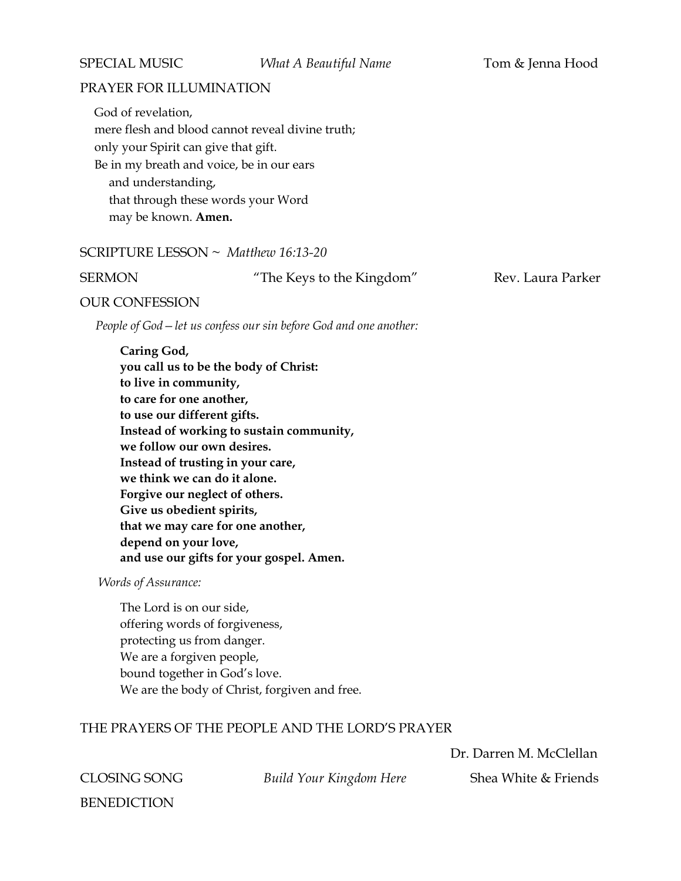#### PRAYER FOR ILLUMINATION

God of revelation, mere flesh and blood cannot reveal divine truth; only your Spirit can give that gift. Be in my breath and voice, be in our ears and understanding, that through these words your Word may be known. **Amen.**

#### SCRIPTURE LESSON ~ *Matthew 16:13-20*

SERMON "The Keys to the Kingdom" Rev. Laura Parker

#### OUR CONFESSION

 *People of God—let us confess our sin before God and one another:*

**Caring God, you call us to be the body of Christ: to live in community, to care for one another, to use our different gifts. Instead of working to sustain community, we follow our own desires. Instead of trusting in your care, we think we can do it alone. Forgive our neglect of others. Give us obedient spirits, that we may care for one another, depend on your love, and use our gifts for your gospel. Amen.**

 *Words of Assurance:*

The Lord is on our side, offering words of forgiveness, protecting us from danger. We are a forgiven people, bound together in God's love. We are the body of Christ, forgiven and free.

#### THE PRAYERS OF THE PEOPLE AND THE LORD'S PRAYER

Dr. Darren M. McClellan

**CLOSING SONG** *Build Your Kingdom Here* Shea White & Friends

BENEDICTION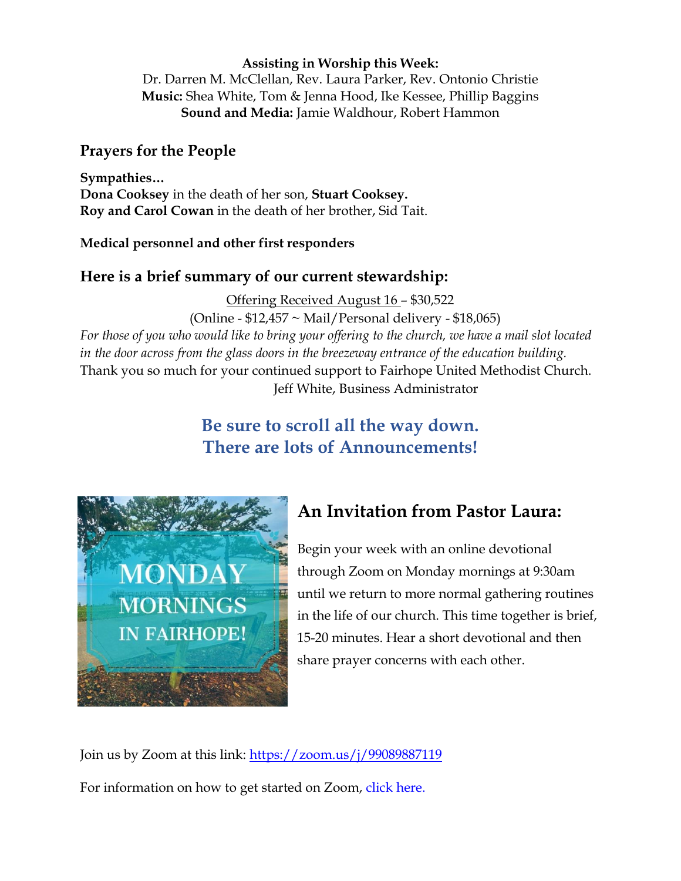#### **Assisting in Worship this Week:**

Dr. Darren M. McClellan, Rev. Laura Parker, Rev. Ontonio Christie **Music:** Shea White, Tom & Jenna Hood, Ike Kessee, Phillip Baggins **Sound and Media:** Jamie Waldhour, Robert Hammon

## **Prayers for the People**

**Sympathies… Dona Cooksey** in the death of her son, **Stuart Cooksey. Roy and Carol Cowan** in the death of her brother, Sid Tait.

#### **Medical personnel and other first responders**

### **Here is a brief summary of our current stewardship:**

Offering Received August 16 – \$30,522

(Online - \$12,457 ~ Mail/Personal delivery - \$18,065)

*For those of you who would like to bring your offering to the church, we have a mail slot located in the door across from the glass doors in the breezeway entrance of the education building.* Thank you so much for your continued support to Fairhope United Methodist Church. Jeff White, Business Administrator

## **Be sure to scroll all the way down. There are lots of Announcements!**



# **An Invitation from Pastor Laura:**

Begin your week with an online devotional through Zoom on Monday mornings at 9:30am until we return to more normal gathering routines in the life of our church. This time together is brief, 15-20 minutes. Hear a short devotional and then share prayer concerns with each other.

Join us by Zoom at this link:<https://zoom.us/j/99089887119>

For information on how to get started on Zoom, click here.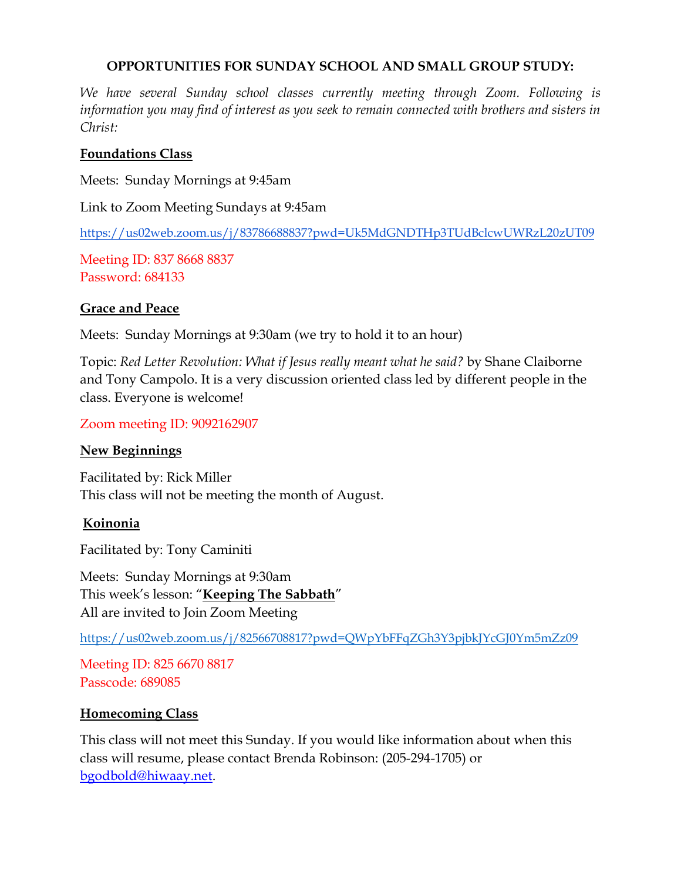#### **OPPORTUNITIES FOR SUNDAY SCHOOL AND SMALL GROUP STUDY:**

*We have several Sunday school classes currently meeting through Zoom. Following is information you may find of interest as you seek to remain connected with brothers and sisters in Christ:*

#### **Foundations Class**

Meets: Sunday Mornings at 9:45am

Link to Zoom Meeting Sundays at 9:45am

<https://us02web.zoom.us/j/83786688837?pwd=Uk5MdGNDTHp3TUdBclcwUWRzL20zUT09>

Meeting ID: 837 8668 8837 Password: 684133

#### **Grace and Peace**

Meets: Sunday Mornings at 9:30am (we try to hold it to an hour)

Topic: *Red Letter Revolution: What if Jesus really meant what he said?* by Shane Claiborne and Tony Campolo. It is a very discussion oriented class led by different people in the class. Everyone is welcome!

Zoom meeting ID: 9092162907

#### **New Beginnings**

Facilitated by: Rick Miller This class will not be meeting the month of August.

### **Koinonia**

Facilitated by: Tony Caminiti

Meets: Sunday Mornings at 9:30am This week's lesson: "**Keeping The Sabbath**" All are invited to Join Zoom Meeting

<https://us02web.zoom.us/j/82566708817?pwd=QWpYbFFqZGh3Y3pjbkJYcGJ0Ym5mZz09>

Meeting ID: 825 6670 8817 Passcode: 689085

### **Homecoming Class**

This class will not meet this Sunday. If you would like information about when this class will resume, please contact Brenda Robinson: (205-294-1705) or [bgodbold@hiwaay.net.](mailto:bgodbold@hiwaay.net)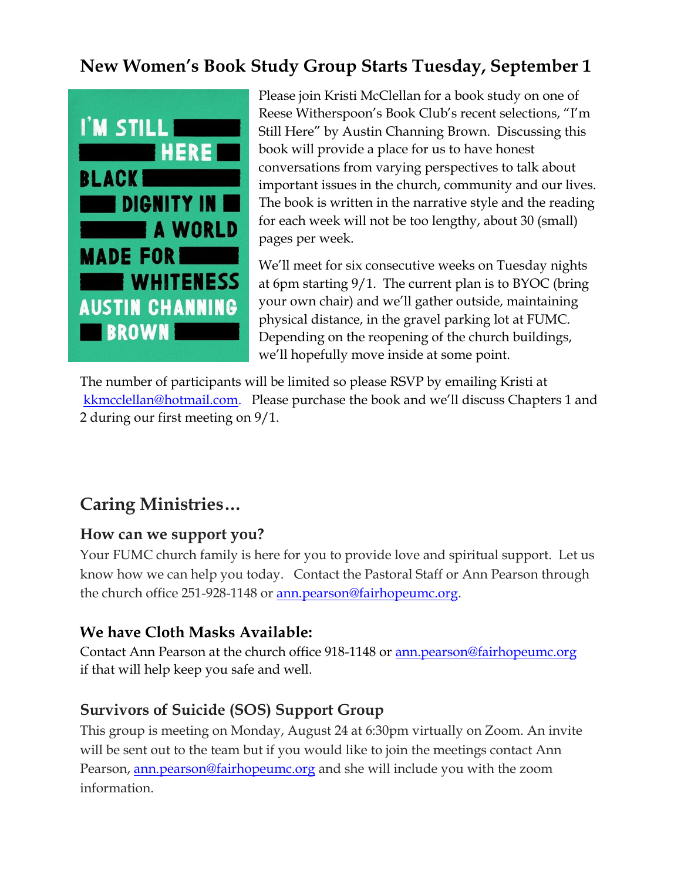# **New Women's Book Study Group Starts Tuesday, September 1**



Please join Kristi McClellan for a book study on one of Reese Witherspoon's Book Club's recent selections, "I'm Still Here" by Austin Channing Brown. Discussing this book will provide a place for us to have honest conversations from varying perspectives to talk about important issues in the church, community and our lives. The book is written in the narrative style and the reading for each week will not be too lengthy, about 30 (small) pages per week.

We'll meet for six consecutive weeks on Tuesday nights at 6pm starting 9/1. The current plan is to BYOC (bring your own chair) and we'll gather outside, maintaining physical distance, in the gravel parking lot at FUMC. Depending on the reopening of the church buildings, we'll hopefully move inside at some point.

The number of participants will be limited so please RSVP by emailing Kristi at [kkmcclellan@hotmail.com.](mailto:kkmcclellan@hotmail.com) Please purchase the book and we'll discuss Chapters 1 and 2 during our first meeting on 9/1.

# **Caring Ministries…**

## **How can we support you?**

Your FUMC church family is here for you to provide love and spiritual support. Let us know how we can help you today. Contact the Pastoral Staff or Ann Pearson through the church office 251-928-1148 or [ann.pearson@fairhopeumc.org.](mailto:ann.pearson@fairhopeumc.org)

## **We have Cloth Masks Available:**

Contact Ann Pearson at the church office 918-1148 or [ann.pearson@fairhopeumc.org](mailto:ann.pearson@fairhopeumc.org)  if that will help keep you safe and well.

## **Survivors of Suicide (SOS) Support Group**

This group is meeting on Monday, August 24 at 6:30pm virtually on Zoom. An invite will be sent out to the team but if you would like to join the meetings contact Ann Pearson, [ann.pearson@fairhopeumc.org](mailto:ann.pearson@fairhopeumc.org) and she will include you with the zoom information.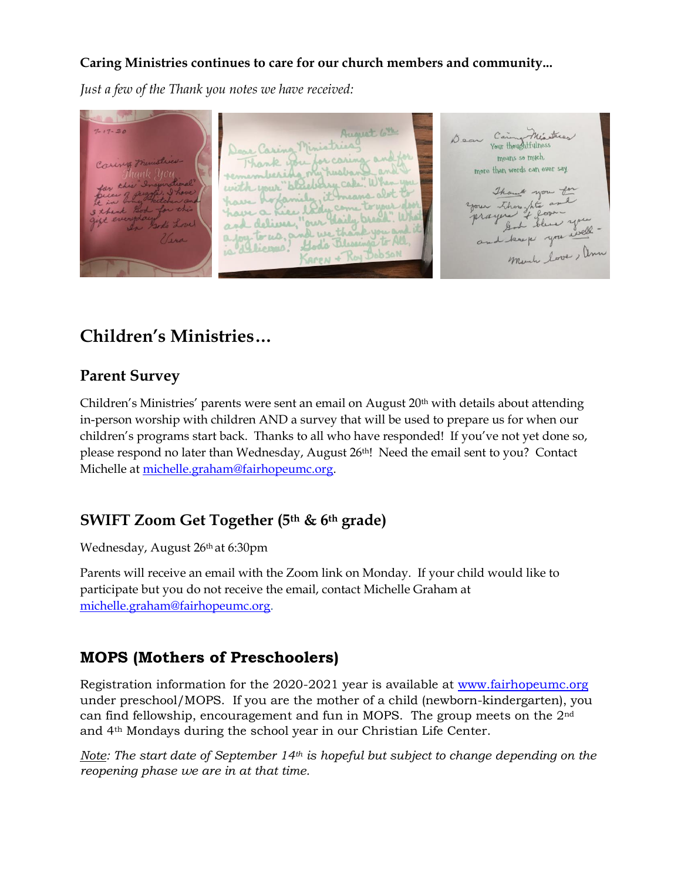## **Caring Ministries continues to care for our church members and community...**

*Just a few of the Thank you notes we have received:*

August 6th Dear Caring Minutes  $20$ Dear Caring Ministrica Thank you for caring and for means so much. emberida my husband and I more than words can ever say.  $+100$ with your "bleeking cake" When you Though you to have hofamily, it means abot your thought and have a hier lady come have a Kie lady come to wal God bleve y and keep you will de we than a loy to us, an God's Blessings to All Mente love, Anne 19 licens! **PubSON** 

# **Children's Ministries…**

## **Parent Survey**

Children's Ministries' parents were sent an email on August 20<sup>th</sup> with details about attending in-person worship with children AND a survey that will be used to prepare us for when our children's programs start back. Thanks to all who have responded! If you've not yet done so, please respond no later than Wednesday, August 26th! Need the email sent to you? Contact Michelle at [michelle.graham@fairhopeumc.org.](mailto:michelle.graham@fairhopeumc.org)

## **SWIFT Zoom Get Together (5th & 6th grade)**

Wednesday, August 26th at 6:30pm

Parents will receive an email with the Zoom link on Monday. If your child would like to participate but you do not receive the email, contact Michelle Graham at [michelle.graham@fairhopeumc.org.](mailto:michelle.graham@fairhopeumc.org)

## **MOPS (Mothers of Preschoolers)**

Registration information for the 2020-2021 year is available at [www.fairhopeumc.org](http://www.fairhopeumc.org/) under preschool/MOPS. If you are the mother of a child (newborn-kindergarten), you can find fellowship, encouragement and fun in MOPS. The group meets on the 2nd and 4th Mondays during the school year in our Christian Life Center.

*Note: The start date of September 14th is hopeful but subject to change depending on the reopening phase we are in at that time.*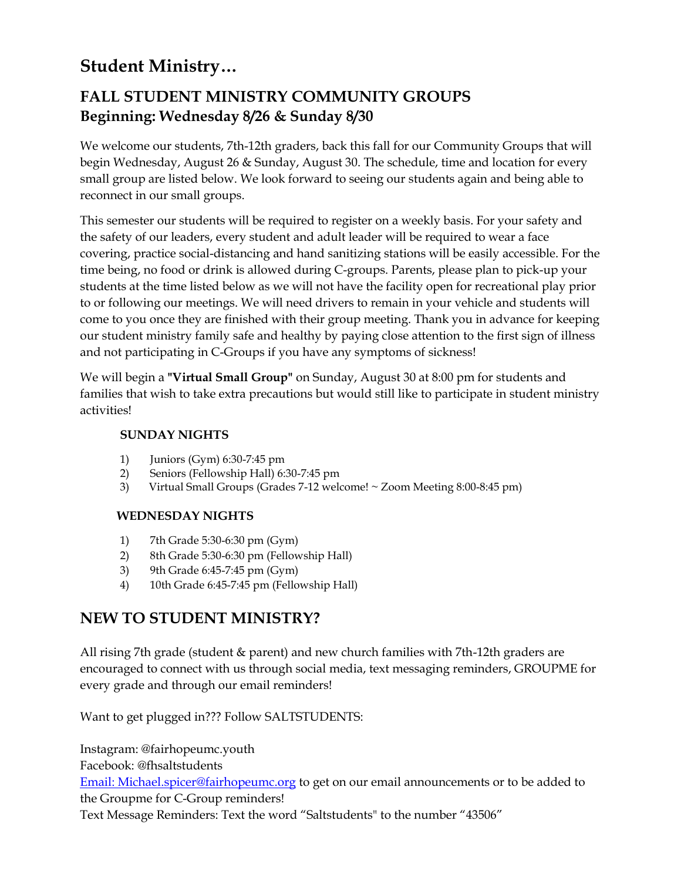# **Student Ministry…**

## **FALL STUDENT MINISTRY COMMUNITY GROUPS Beginning: Wednesday 8/26 & Sunday 8/30**

We welcome our students, 7th-12th graders, back this fall for our Community Groups that will begin Wednesday, August 26 & Sunday, August 30. The schedule, time and location for every small group are listed below. We look forward to seeing our students again and being able to reconnect in our small groups.

This semester our students will be required to register on a weekly basis. For your safety and the safety of our leaders, every student and adult leader will be required to wear a face covering, practice social-distancing and hand sanitizing stations will be easily accessible. For the time being, no food or drink is allowed during C-groups. Parents, please plan to pick-up your students at the time listed below as we will not have the facility open for recreational play prior to or following our meetings. We will need drivers to remain in your vehicle and students will come to you once they are finished with their group meeting. Thank you in advance for keeping our student ministry family safe and healthy by paying close attention to the first sign of illness and not participating in C-Groups if you have any symptoms of sickness!

We will begin a **"Virtual Small Group"** on Sunday, August 30 at 8:00 pm for students and families that wish to take extra precautions but would still like to participate in student ministry activities!

#### **SUNDAY NIGHTS**

- 1) Juniors (Gym) 6:30-7:45 pm
- 2) Seniors (Fellowship Hall) 6:30-7:45 pm
- 3) Virtual Small Groups (Grades 7-12 welcome! ~ Zoom Meeting 8:00-8:45 pm)

#### **WEDNESDAY NIGHTS**

- 1) 7th Grade 5:30-6:30 pm (Gym)
- 2) 8th Grade 5:30-6:30 pm (Fellowship Hall)
- 3) 9th Grade 6:45-7:45 pm (Gym)
- 4) 10th Grade 6:45-7:45 pm (Fellowship Hall)

## **NEW TO STUDENT MINISTRY?**

All rising 7th grade (student & parent) and new church families with 7th-12th graders are encouraged to connect with us through social media, text messaging reminders, GROUPME for every grade and through our email reminders!

Want to get plugged in??? Follow SALTSTUDENTS:

Instagram: @fairhopeumc.youth Facebook: @fhsaltstudents

[Email: Michael.spicer@fairhopeumc.org](mailto:Michael.spicer@fairhopeumc.org) to get on our email announcements or to be added to the Groupme for C-Group reminders!

Text Message Reminders: Text the word "Saltstudents" to the number "43506"